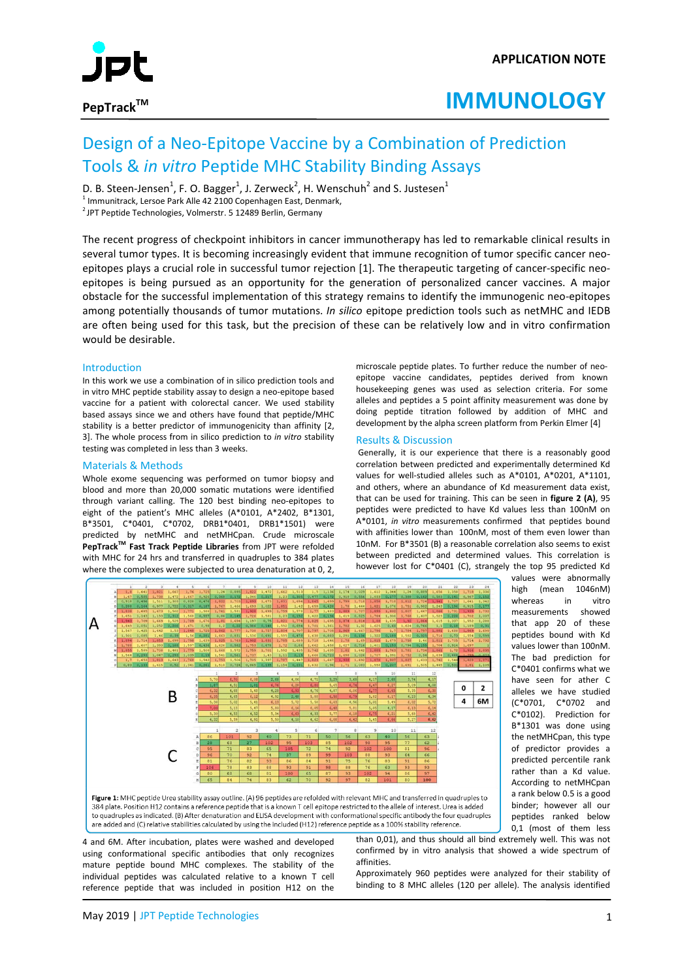

# **IMMUNOLOGY**

## Design of a Neo-Epitope Vaccine by a Combination of Prediction Tools & *in vitro* Peptide MHC Stability Binding Assays

D. B. Steen-Jensen<sup>1</sup>, F. O. Bagger<sup>1</sup>, J. Zerweck<sup>2</sup>, H. Wenschuh<sup>2</sup> and S. Justesen<sup>1</sup>

<sup>1</sup> Immunitrack, Lersoe Park Alle 42 2100 Copenhagen East, Denmark,  $^{2}$ JPT Peptide Technologies, Volmerstr. 5 12489 Berlin, Germany

The recent progress of checkpoint inhibitors in cancer immunotherapy has led to remarkable clinical results in several tumor types. It is becoming increasingly evident that immune recognition of tumor specific cancer neoepitopes plays a crucial role in successful tumor rejection [1]. The therapeutic targeting of cancer-specific neoepitopes is being pursued as an opportunity for the generation of personalized cancer vaccines. A major obstacle for the successful implementation of this strategy remains to identify the immunogenic neo-epitopes among potentially thousands of tumor mutations. *In silico* epitope prediction tools such as netMHC and IEDB are often being used for this task, but the precision of these can be relatively low and in vitro confirmation would be desirable.

## **Introduction**

In this work we use a combination of in silico prediction tools and in vitro MHC peptide stability assay to design a neo-epitope based vaccine for a patient with colorectal cancer. We used stability based assays since we and others have found that peptide/MHC stability is a better predictor of immunogenicity than affinity [2, 3]. The whole process from in silico prediction to *in vitro* stability testing was completed in less than 3 weeks.

## Materials & Methods

Whole exome sequencing was performed on tumor biopsy and blood and more than 20,000 somatic mutations were identified through variant calling. The 120 best binding neo-epitopes to eight of the patient's MHC alleles (A\*0101, A\*2402, B\*1301, B\*3501, C\*0401, C\*0702, DRB1\*0401, DRB1\*1501) were predicted by netMHC and netMHCpan. Crude microscale PepTrack<sup>™</sup> Fast Track Peptide Libraries from JPT were refolded with MHC for 24 hrs and transferred in quadruples to 384 plates where the complexes were subjected to urea denaturation at 0, 2.

microscale peptide plates. To further reduce the number of neoepitope vaccine candidates, peptides derived from known housekeeping genes was used as selection criteria. For some alleles and peptides a 5 point affinity measurement was done by doing peptide titration followed by addition of MHC and development by the alpha screen platform from Perkin Elmer [4]

## Results & Discussion

Generally, it is our experience that there is a reasonably good correlation between predicted and experimentally determined Kd values for well-studied alleles such as A\*0101, A\*0201, A\*1101, and others, where an abundance of Kd measurement data exist, that can be used for training. This can be seen in **figure 2 (A)**, 95 peptides were predicted to have Kd values less than 100nM on A\*0101, *in vitro* measurements confirmed that peptides bound with affinities lower than 100nM, most of them even lower than 10nM. For B\*3501 (B) a reasonable correlation also seems to exist between predicted and determined values. This correlation is however lost for C\*0401 (C), strangely the top 95 predicted Kd



values were abnormally high (mean 1046nM) whereas in vitro measurements showed that app 20 of these peptides bound with Kd values lower than 100nM. The bad prediction for C\*0401 confirms what we have seen for ather C alleles we have studied (C\*0701, C\*0702 and C\*0102). Prediction for B\*1301 was done using the netMHCpan, this type of predictor provides a predicted percentile rank rather than a Kd value. According to netMHCpan a rank below 0.5 is a good binder; however all our peptides ranked below 0,1 (most of them less

to quadruples as indicated. (B) After denaturation and ELISA development with conformational specific antibody the four quadruples are added and (C) relative stabilities calculated by using the included (H12) reference peptide as a 100% stability reference.

4 and 6M. After incubation, plates were washed and developed using conformational specific antibodies that only recognizes mature peptide bound MHC complexes. The stability of the individual peptides was calculated relative to a known T cell reference peptide that was included in position H12 on the than 0,01), and thus should all bind extremely well. This was not confirmed by in vitro analysis that showed a wide spectrum of affinities.

Approximately 960 peptides were analyzed for their stability of binding to 8 MHC alleles (120 per allele). The analysis identified